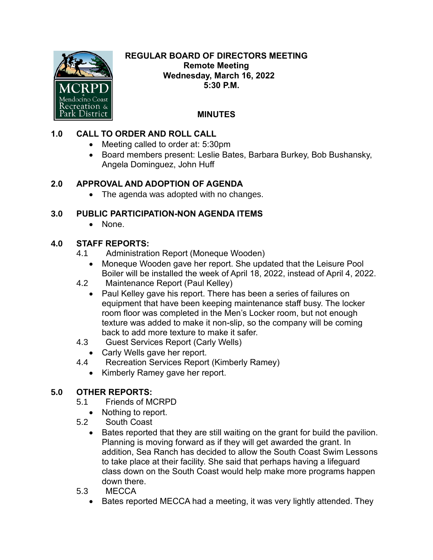

#### **REGULAR BOARD OF DIRECTORS MEETING Remote Meeting Wednesday, March 16, 2022 5:30 P.M.**

# **MINUTES**

## **1.0 CALL TO ORDER AND ROLL CALL**

- Meeting called to order at: 5:30pm
- Board members present: Leslie Bates, Barbara Burkey, Bob Bushansky, Angela Dominguez, John Huff

## **2.0 APPROVAL AND ADOPTION OF AGENDA**

• The agenda was adopted with no changes.

## **3.0 PUBLIC PARTICIPATION-NON AGENDA ITEMS**

• None.

### **4.0 STAFF REPORTS:**

- 4.1 Administration Report (Moneque Wooden)
	- Moneque Wooden gave her report. She updated that the Leisure Pool Boiler will be installed the week of April 18, 2022, instead of April 4, 2022.
- 4.2 Maintenance Report (Paul Kelley)
	- Paul Kelley gave his report. There has been a series of failures on equipment that have been keeping maintenance staff busy. The locker room floor was completed in the Men's Locker room, but not enough texture was added to make it non-slip, so the company will be coming back to add more texture to make it safer.
- 4.3 Guest Services Report (Carly Wells)
	- Carly Wells gave her report.
- 4.4 Recreation Services Report (Kimberly Ramey)
	- Kimberly Ramey gave her report.

## **5.0 OTHER REPORTS:**

- 5.1 Friends of MCRPD
	- Nothing to report.
- 5.2 South Coast
	- Bates reported that they are still waiting on the grant for build the pavilion. Planning is moving forward as if they will get awarded the grant. In addition, Sea Ranch has decided to allow the South Coast Swim Lessons to take place at their facility. She said that perhaps having a lifeguard class down on the South Coast would help make more programs happen down there.
- 5.3 MECCA
	- Bates reported MECCA had a meeting, it was very lightly attended. They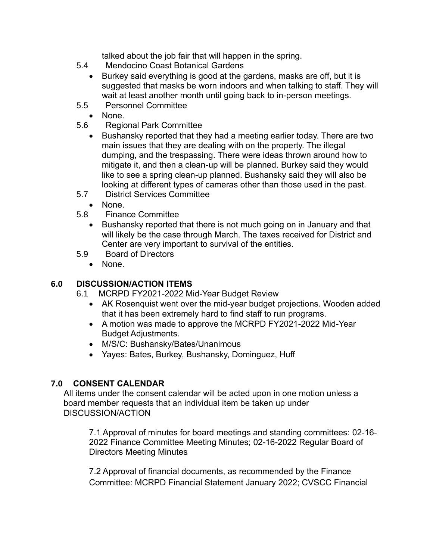talked about the job fair that will happen in the spring.

- 5.4 Mendocino Coast Botanical Gardens
	- Burkey said everything is good at the gardens, masks are off, but it is suggested that masks be worn indoors and when talking to staff. They will wait at least another month until going back to in-person meetings.
- 5.5 Personnel Committee
- None.
- 5.6 Regional Park Committee
	- Bushansky reported that they had a meeting earlier today. There are two main issues that they are dealing with on the property. The illegal dumping, and the trespassing. There were ideas thrown around how to mitigate it, and then a clean-up will be planned. Burkey said they would like to see a spring clean-up planned. Bushansky said they will also be looking at different types of cameras other than those used in the past.
- 5.7 District Services Committee
	- None.
- 5.8 Finance Committee
	- Bushansky reported that there is not much going on in January and that will likely be the case through March. The taxes received for District and Center are very important to survival of the entities.
- 5.9 Board of Directors
	- None.

## **6.0 DISCUSSION/ACTION ITEMS**

- 6.1 MCRPD FY2021-2022 Mid-Year Budget Review
	- AK Rosenquist went over the mid-year budget projections. Wooden added that it has been extremely hard to find staff to run programs.
	- A motion was made to approve the MCRPD FY2021-2022 Mid-Year Budget Adjustments.
	- M/S/C: Bushansky/Bates/Unanimous
	- Yayes: Bates, Burkey, Bushansky, Dominguez, Huff

## **7.0 CONSENT CALENDAR**

All items under the consent calendar will be acted upon in one motion unless a board member requests that an individual item be taken up under DISCUSSION/ACTION

7.1 Approval of minutes for board meetings and standing committees: 02-16- 2022 Finance Committee Meeting Minutes; 02-16-2022 Regular Board of Directors Meeting Minutes

7.2 Approval of financial documents, as recommended by the Finance Committee: MCRPD Financial Statement January 2022; CVSCC Financial